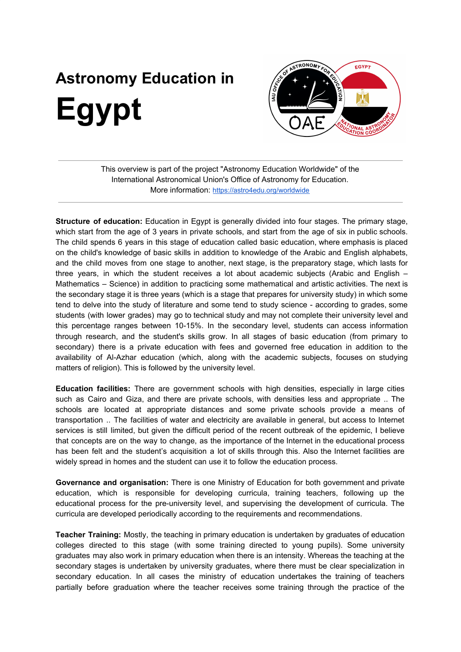## **Astronomy Education in Egypt**



This overview is part of the project "Astronomy Education Worldwide" of the International Astronomical Union's Office of Astronomy for Education. More information: <https://astro4edu.org/worldwide>

**Structure of education:** Education in Egypt is generally divided into four stages. The primary stage, which start from the age of 3 years in private schools, and start from the age of six in public schools. The child spends 6 years in this stage of education called basic education, where emphasis is placed on the child's knowledge of basic skills in addition to knowledge of the Arabic and English alphabets, and the child moves from one stage to another, next stage, is the preparatory stage, which lasts for three years, in which the student receives a lot about academic subjects (Arabic and English – Mathematics – Science) in addition to practicing some mathematical and artistic activities. The next is the secondary stage it is three years (which is a stage that prepares for university study) in which some tend to delve into the study of literature and some tend to study science - according to grades, some students (with lower grades) may go to technical study and may not complete their university level and this percentage ranges between 10-15%. In the secondary level, students can access information through research, and the student's skills grow. In all stages of basic education (from primary to secondary) there is a private education with fees and governed free education in addition to the availability of Al-Azhar education (which, along with the academic subjects, focuses on studying matters of religion). This is followed by the university level.

**Education facilities:** There are government schools with high densities, especially in large cities such as Cairo and Giza, and there are private schools, with densities less and appropriate .. The schools are located at appropriate distances and some private schools provide a means of transportation .. The facilities of water and electricity are available in general, but access to Internet services is still limited, but given the difficult period of the recent outbreak of the epidemic, I believe that concepts are on the way to change, as the importance of the Internet in the educational process has been felt and the student's acquisition a lot of skills through this. Also the Internet facilities are widely spread in homes and the student can use it to follow the education process.

**Governance and organisation:** There is one Ministry of Education for both government and private education, which is responsible for developing curricula, training teachers, following up the educational process for the pre-university level, and supervising the development of curricula. The curricula are developed periodically according to the requirements and recommendations.

**Teacher Training:** Mostly, the teaching in primary education is undertaken by graduates of education colleges directed to this stage (with some training directed to young pupils). Some university graduates may also work in primary education when there is an intensity. Whereas the teaching at the secondary stages is undertaken by university graduates, where there must be clear specialization in secondary education. In all cases the ministry of education undertakes the training of teachers partially before graduation where the teacher receives some training through the practice of the